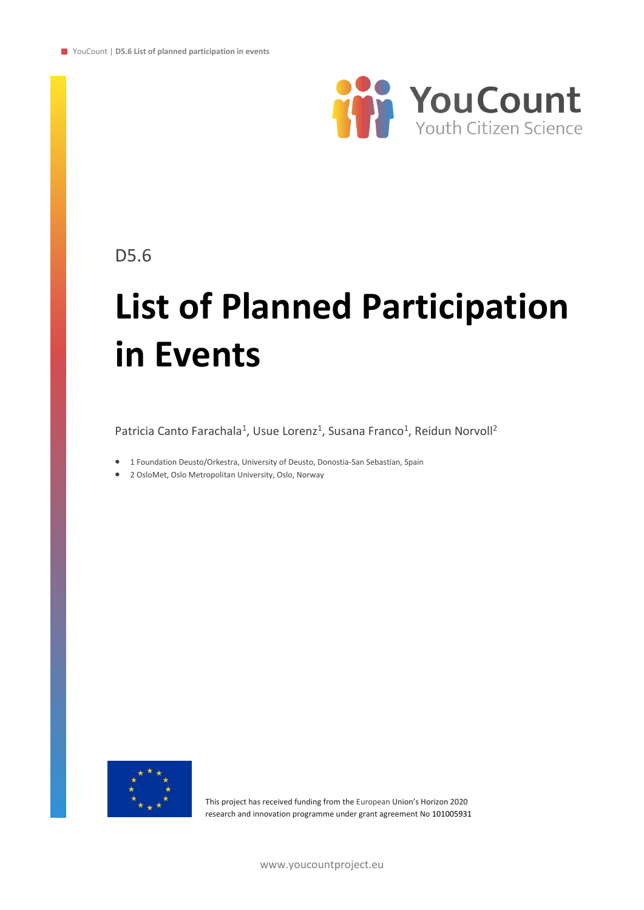

D5.6

# **List of Planned Participation in Events**

Patricia Canto Farachala<sup>1</sup>, Usue Lorenz<sup>1</sup>, Susana Franco<sup>1</sup>, Reidun Norvoll<sup>2</sup>

- 1 Foundation Deusto/Orkestra, University of Deusto, Donostia-San Sebastian, Spain
- 2 OsloMet, Oslo Metropolitan University, Oslo, Norway



This project has received funding from the European Union's Horizon 2020 research and innovation programme under grant agreement No 101005931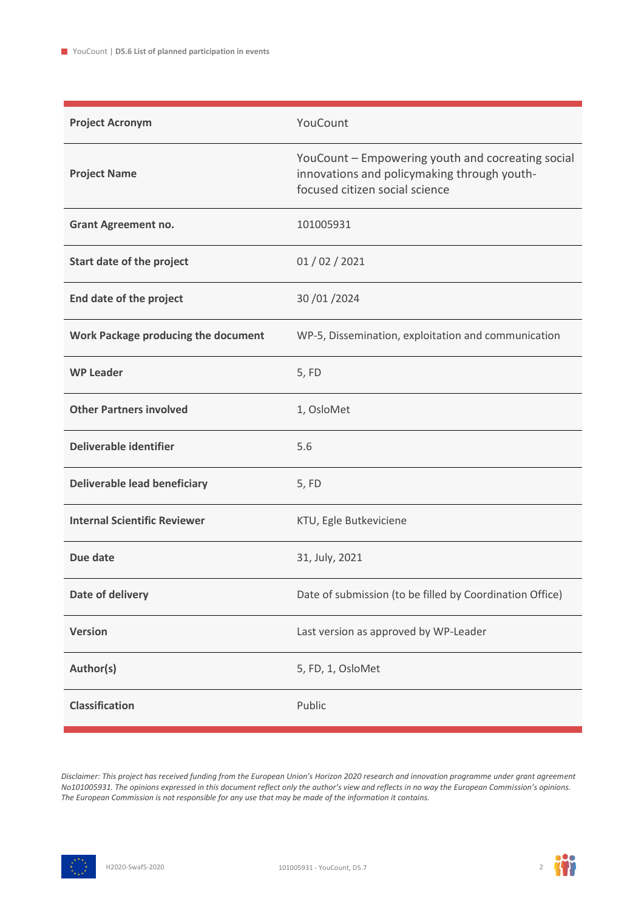| <b>Project Acronym</b>              | YouCount                                                                                                                           |
|-------------------------------------|------------------------------------------------------------------------------------------------------------------------------------|
| <b>Project Name</b>                 | YouCount - Empowering youth and cocreating social<br>innovations and policymaking through youth-<br>focused citizen social science |
| <b>Grant Agreement no.</b>          | 101005931                                                                                                                          |
| Start date of the project           | 01/02/2021                                                                                                                         |
| End date of the project             | 30 / 01 / 2024                                                                                                                     |
| Work Package producing the document | WP-5, Dissemination, exploitation and communication                                                                                |
| <b>WP Leader</b>                    | 5, FD                                                                                                                              |
| <b>Other Partners involved</b>      | 1, OsloMet                                                                                                                         |
| Deliverable identifier              | 5.6                                                                                                                                |
| <b>Deliverable lead beneficiary</b> | 5, FD                                                                                                                              |
| <b>Internal Scientific Reviewer</b> | KTU, Egle Butkeviciene                                                                                                             |
| Due date                            | 31, July, 2021                                                                                                                     |
| Date of delivery                    | Date of submission (to be filled by Coordination Office)                                                                           |
| <b>Version</b>                      | Last version as approved by WP-Leader                                                                                              |
| Author(s)                           | 5, FD, 1, OsloMet                                                                                                                  |
| <b>Classification</b>               | Public                                                                                                                             |

*Disclaimer: This project has received funding from the European Union's Horizon 2020 research and innovation programme under grant agreement No101005931. The opinions expressed in this document reflect only the author's view and reflects in no way the European Commission's opinions. The European Commission is not responsible for any use that may be made of the information it contains.*



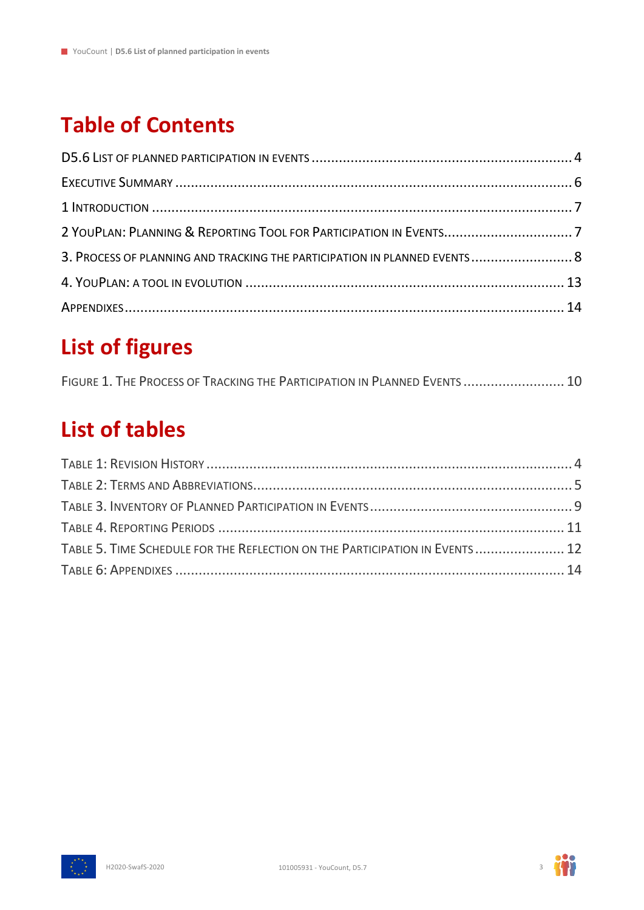### **Table of Contents**

| 3. PROCESS OF PLANNING AND TRACKING THE PARTICIPATION IN PLANNED EVENTS 8 |  |
|---------------------------------------------------------------------------|--|
|                                                                           |  |
|                                                                           |  |

### **List of figures**

| FIGURE 1. THE PROCESS OF TRACKING THE PARTICIPATION IN PLANNED EVENTS  10 |  |
|---------------------------------------------------------------------------|--|
|---------------------------------------------------------------------------|--|

### **List of tables**

| TABLE 5. TIME SCHEDULE FOR THE REFLECTION ON THE PARTICIPATION IN EVENTS  12 |  |
|------------------------------------------------------------------------------|--|
|                                                                              |  |



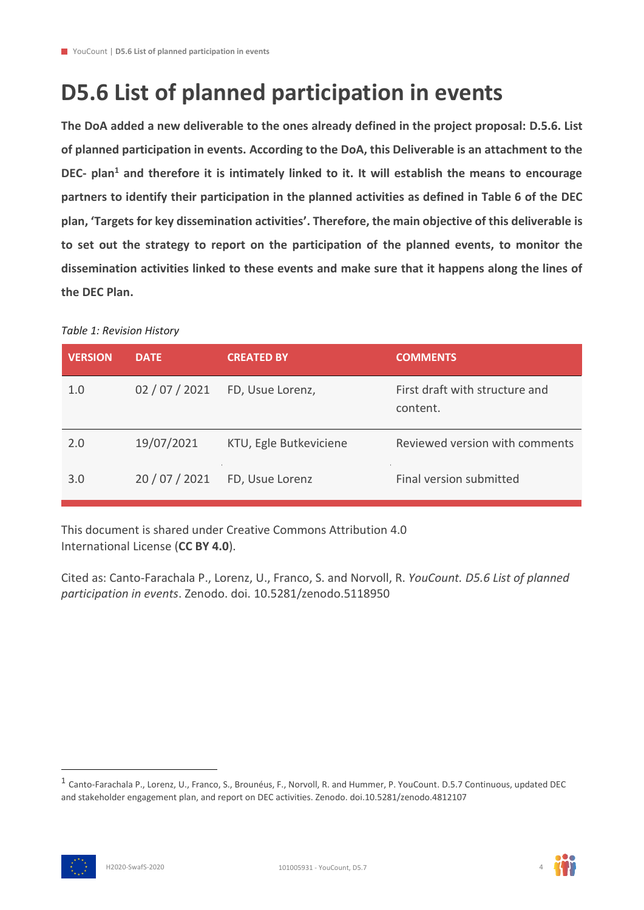### <span id="page-3-0"></span>**D5.6 List of planned participation in events**

**The DoA added a new deliverable to the ones already defined in the project proposal: D.5.6. List of planned participation in events. According to the DoA, this Deliverable is an attachment to the DEC- plan<sup>1</sup> and therefore it is intimately linked to it. It will establish the means to encourage partners to identify their participation in the planned activities as defined in Table 6 of the DEC plan, 'Targets for key dissemination activities'. Therefore, the main objective of this deliverable is to set out the strategy to report on the participation of the planned events, to monitor the dissemination activities linked to these events and make sure that it happens along the lines of the DEC Plan.**

# **VERSION DATE CREATED BY COMMENTS** 1.0 02 / 07 / 2021 FD, Usue Lorenz, First draft with structure and content. 2.0 19/07/2021 KTU, Egle Butkeviciene Reviewed version with comments 3.0 20 / 07 / 2021 FD, Usue Lorenz Final version submitted

#### <span id="page-3-1"></span>*Table 1: Revision History*

This document is shared under Creative Commons Attribution 4.0 International License (**CC BY 4.0**).

Cited as: Canto-Farachala P., Lorenz, U., Franco, S. and Norvoll, R. *YouCount. D5.6 List of planned participation in events*. Zenodo. doi. 10.5281/zenodo.5118950





<sup>1</sup> Canto-Farachala P., Lorenz, U., Franco, S., Brounéus, F., Norvoll, R. and Hummer, P. YouCount. D.5.7 Continuous, updated DEC and stakeholder engagement plan, and report on DEC activities. Zenodo. doi.10.5281/zenodo.4812107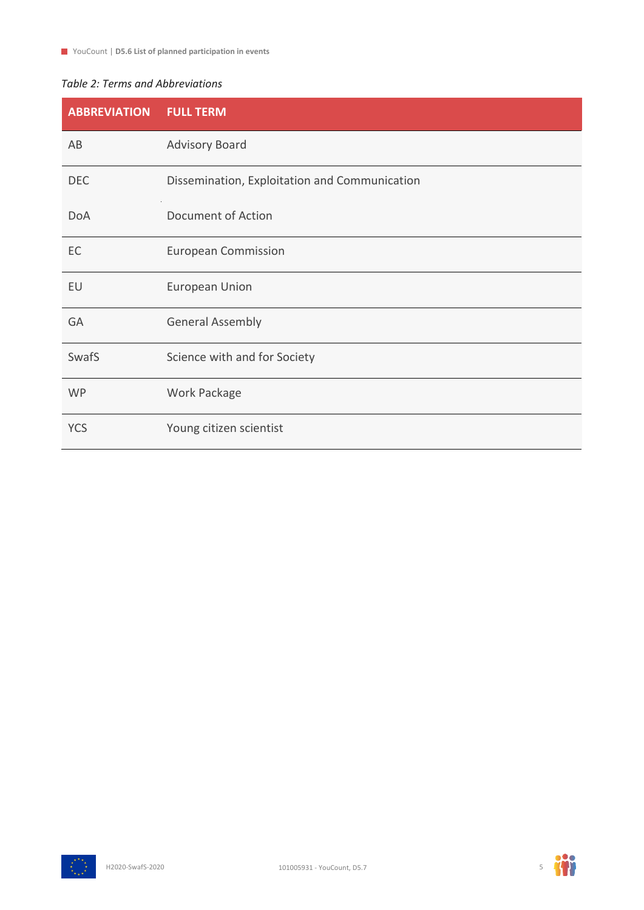#### <span id="page-4-0"></span>*Table 2: Terms and Abbreviations*

| <b>ABBREVIATION</b> | <b>FULL TERM</b>                              |
|---------------------|-----------------------------------------------|
| AB                  | <b>Advisory Board</b>                         |
| <b>DEC</b>          | Dissemination, Exploitation and Communication |
| <b>DoA</b>          | Document of Action                            |
| EC                  | <b>European Commission</b>                    |
| EU                  | <b>European Union</b>                         |
| GA                  | <b>General Assembly</b>                       |
| SwafS               | Science with and for Society                  |
| <b>WP</b>           | Work Package                                  |
| <b>YCS</b>          | Young citizen scientist                       |



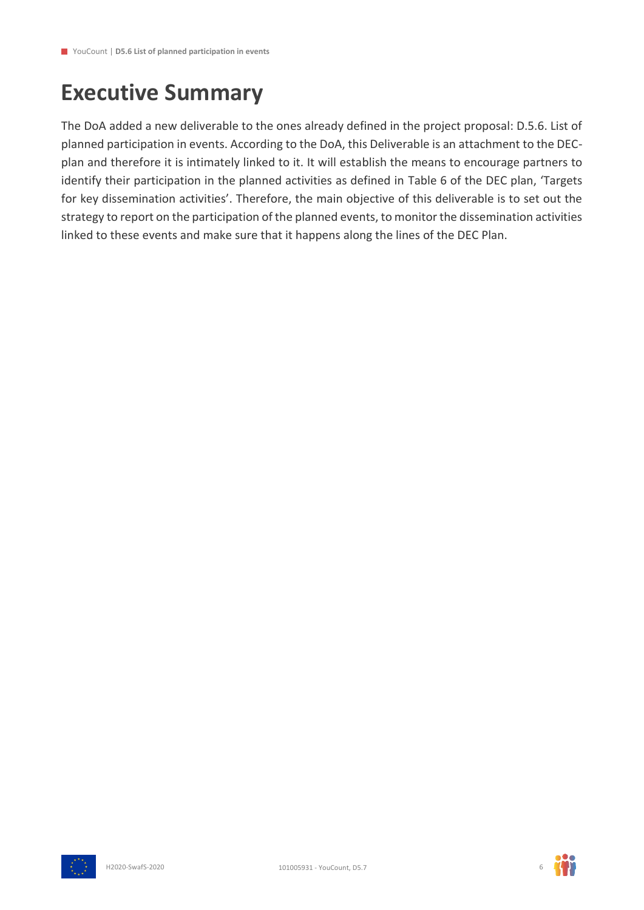### <span id="page-5-0"></span>**Executive Summary**

The DoA added a new deliverable to the ones already defined in the project proposal: D.5.6. List of planned participation in events. According to the DoA, this Deliverable is an attachment to the DECplan and therefore it is intimately linked to it. It will establish the means to encourage partners to identify their participation in the planned activities as defined in Table 6 of the DEC plan, 'Targets for key dissemination activities'. Therefore, the main objective of this deliverable is to set out the strategy to report on the participation of the planned events, to monitor the dissemination activities linked to these events and make sure that it happens along the lines of the DEC Plan.



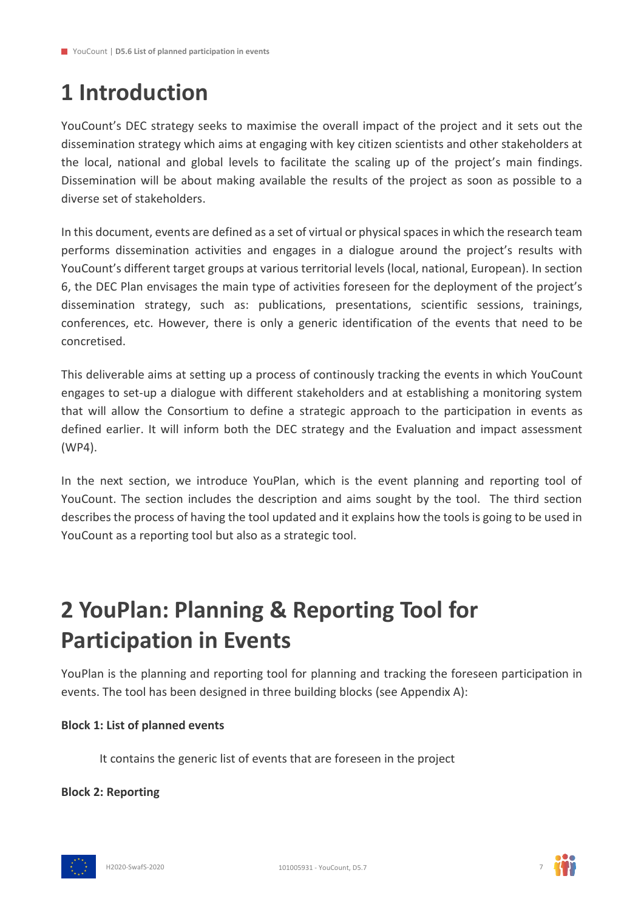## <span id="page-6-0"></span>**1 Introduction**

YouCount's DEC strategy seeks to maximise the overall impact of the project and it sets out the dissemination strategy which aims at engaging with key citizen scientists and other stakeholders at the local, national and global levels to facilitate the scaling up of the project's main findings. Dissemination will be about making available the results of the project as soon as possible to a diverse set of stakeholders.

In this document, events are defined as a set of virtual or physical spaces in which the research team performs dissemination activities and engages in a dialogue around the project's results with YouCount's different target groups at various territorial levels (local, national, European). In section 6, the DEC Plan envisages the main type of activities foreseen for the deployment of the project's dissemination strategy, such as: publications, presentations, scientific sessions, trainings, conferences, etc. However, there is only a generic identification of the events that need to be concretised.

This deliverable aims at setting up a process of continously tracking the events in which YouCount engages to set-up a dialogue with different stakeholders and at establishing a monitoring system that will allow the Consortium to define a strategic approach to the participation in events as defined earlier. It will inform both the DEC strategy and the Evaluation and impact assessment (WP4).

In the next section, we introduce YouPlan, which is the event planning and reporting tool of YouCount. The section includes the description and aims sought by the tool. The third section describes the process of having the tool updated and it explains how the tools is going to be used in YouCount as a reporting tool but also as a strategic tool.

### <span id="page-6-1"></span>**2 YouPlan: Planning & Reporting Tool for Participation in Events**

YouPlan is the planning and reporting tool for planning and tracking the foreseen participation in events. The tool has been designed in three building blocks (see Appendix A):

#### **Block 1: List of planned events**

It contains the generic list of events that are foreseen in the project

**Block 2: Reporting**



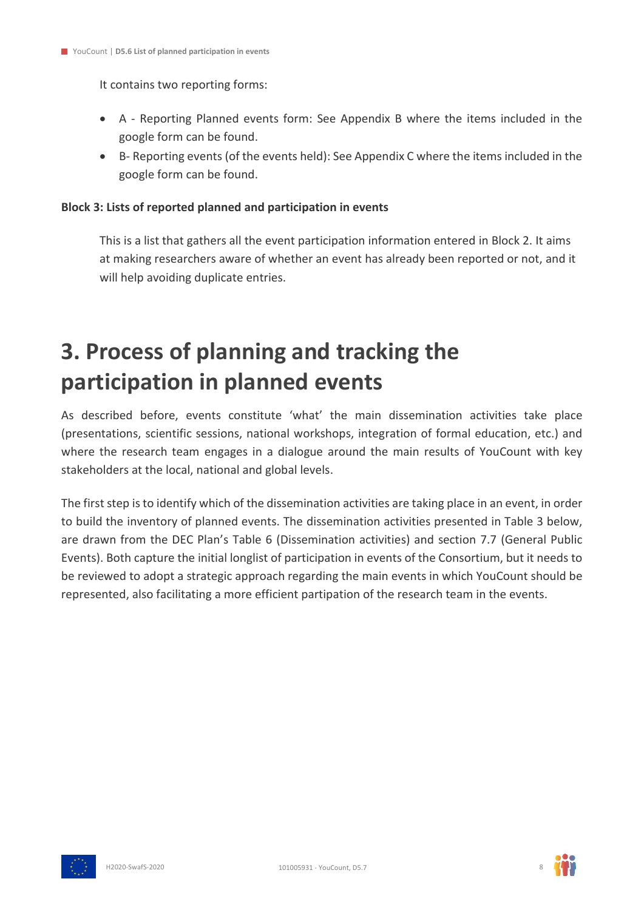It contains two reporting forms:

- A Reporting Planned events form: See Appendix B where the items included in the google form can be found.
- B- Reporting events (of the events held): See Appendix C where the items included in the google form can be found.

#### **Block 3: Lists of reported planned and participation in events**

This is a list that gathers all the event participation information entered in Block 2. It aims at making researchers aware of whether an event has already been reported or not, and it will help avoiding duplicate entries.

### <span id="page-7-0"></span>**3. Process of planning and tracking the participation in planned events**

As described before, events constitute 'what' the main dissemination activities take place (presentations, scientific sessions, national workshops, integration of formal education, etc.) and where the research team engages in a dialogue around the main results of YouCount with key stakeholders at the local, national and global levels.

The first step is to identify which of the dissemination activities are taking place in an event, in order to build the inventory of planned events. The dissemination activities presented in Table 3 below, are drawn from the DEC Plan's Table 6 (Dissemination activities) and section 7.7 (General Public Events). Both capture the initial longlist of participation in events of the Consortium, but it needs to be reviewed to adopt a strategic approach regarding the main events in which YouCount should be represented, also facilitating a more efficient partipation of the research team in the events.



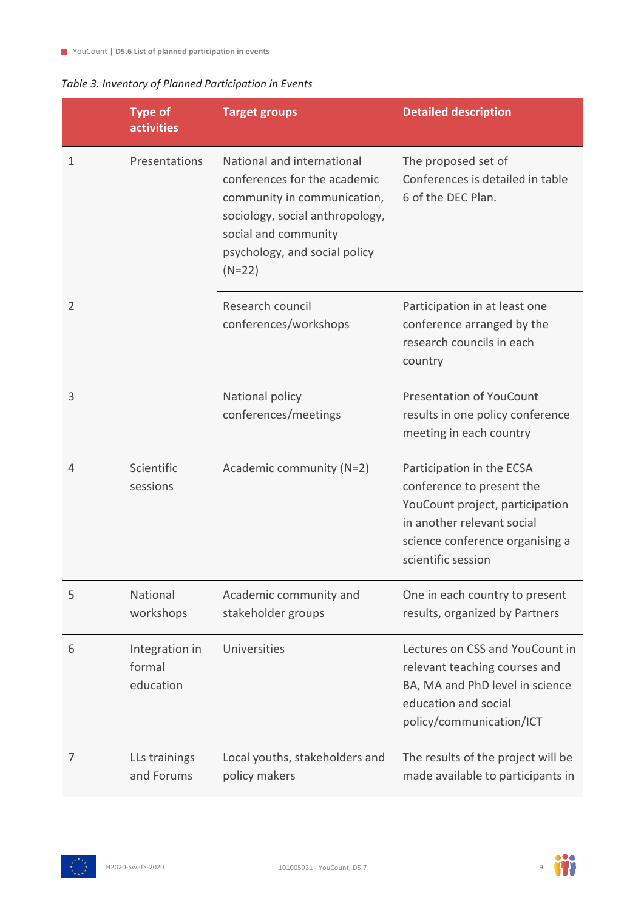#### <span id="page-8-0"></span>*Table 3. Inventory of Planned Participation in Events*

|                | <b>Type of</b><br><b>activities</b>   | <b>Target groups</b>                                                                                                                                                                              | <b>Detailed description</b>                                                                                                                                                      |
|----------------|---------------------------------------|---------------------------------------------------------------------------------------------------------------------------------------------------------------------------------------------------|----------------------------------------------------------------------------------------------------------------------------------------------------------------------------------|
| 1              | Presentations                         | National and international<br>conferences for the academic<br>community in communication,<br>sociology, social anthropology,<br>social and community<br>psychology, and social policy<br>$(N=22)$ | The proposed set of<br>Conferences is detailed in table<br>6 of the DEC Plan.                                                                                                    |
| $\overline{2}$ |                                       | Research council<br>conferences/workshops                                                                                                                                                         | Participation in at least one<br>conference arranged by the<br>research councils in each<br>country                                                                              |
| 3              |                                       | National policy<br>conferences/meetings                                                                                                                                                           | <b>Presentation of YouCount</b><br>results in one policy conference<br>meeting in each country                                                                                   |
| 4              | Scientific<br>sessions                | Academic community (N=2)                                                                                                                                                                          | Participation in the ECSA<br>conference to present the<br>YouCount project, participation<br>in another relevant social<br>science conference organising a<br>scientific session |
| 5              | National<br>workshops                 | Academic community and<br>stakeholder groups                                                                                                                                                      | One in each country to present<br>results, organized by Partners                                                                                                                 |
| 6              | Integration in<br>formal<br>education | Universities                                                                                                                                                                                      | Lectures on CSS and YouCount in<br>relevant teaching courses and<br>BA, MA and PhD level in science<br>education and social<br>policy/communication/ICT                          |
| 7              | LLs trainings<br>and Forums           | Local youths, stakeholders and<br>policy makers                                                                                                                                                   | The results of the project will be<br>made available to participants in                                                                                                          |



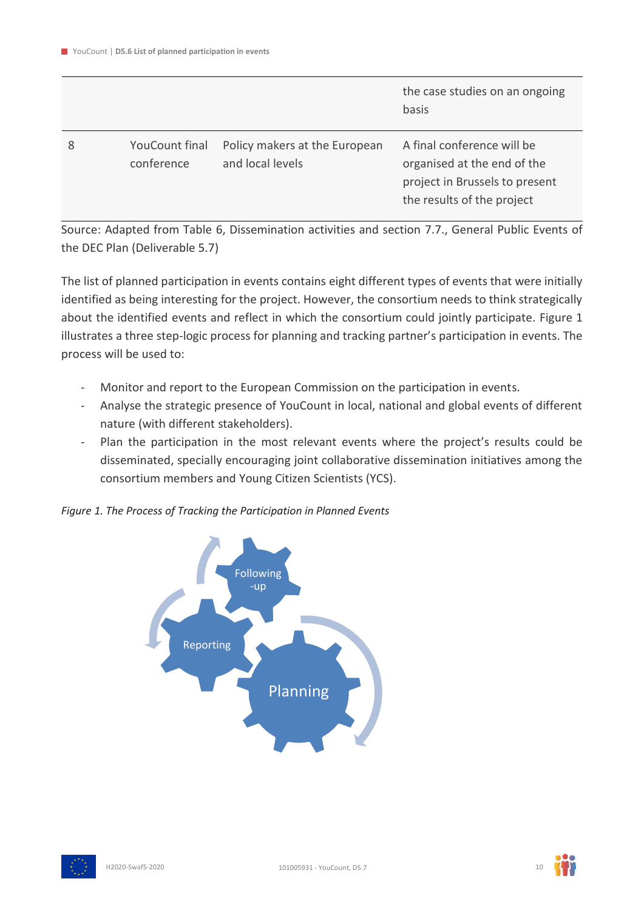|   |                                     |                                                   | the case studies on an ongoing<br>basis                                                                                   |
|---|-------------------------------------|---------------------------------------------------|---------------------------------------------------------------------------------------------------------------------------|
| 8 | <b>YouCount final</b><br>conference | Policy makers at the European<br>and local levels | A final conference will be<br>organised at the end of the<br>project in Brussels to present<br>the results of the project |

Source: Adapted from Table 6, Dissemination activities and section 7.7., General Public Events of the DEC Plan (Deliverable 5.7)

The list of planned participation in events contains eight different types of events that were initially identified as being interesting for the project. However, the consortium needs to think strategically about the identified events and reflect in which the consortium could jointly participate. Figure 1 illustrates a three step-logic process for planning and tracking partner's participation in events. The process will be used to:

- Monitor and report to the European Commission on the participation in events.
- Analyse the strategic presence of YouCount in local, national and global events of different nature (with different stakeholders).
- Plan the participation in the most relevant events where the project's results could be disseminated, specially encouraging joint collaborative dissemination initiatives among the consortium members and Young Citizen Scientists (YCS).

<span id="page-9-0"></span>*Figure 1. The Process of Tracking the Participation in Planned Events*



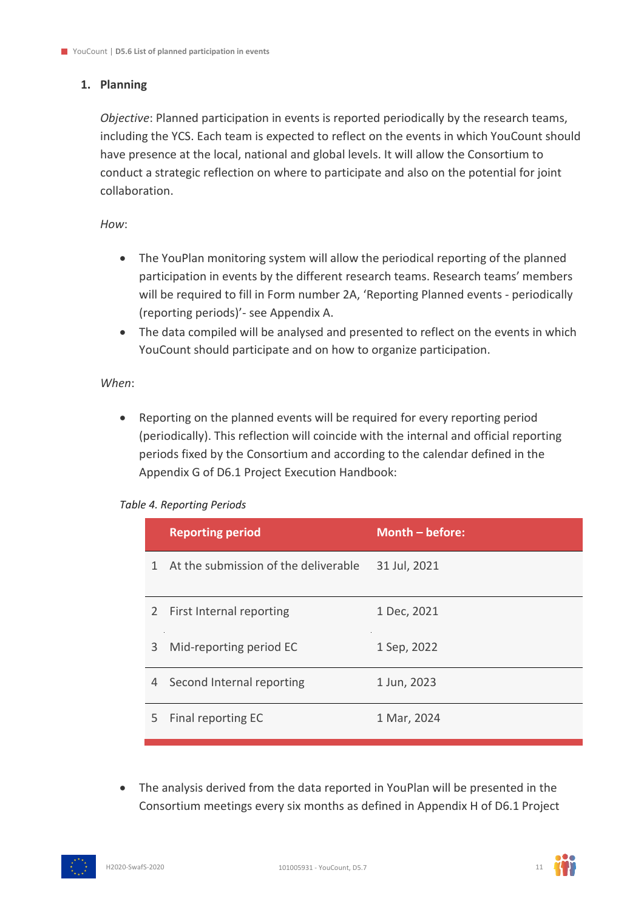#### **1. Planning**

*Objective*: Planned participation in events is reported periodically by the research teams, including the YCS. Each team is expected to reflect on the events in which YouCount should have presence at the local, national and global levels. It will allow the Consortium to conduct a strategic reflection on where to participate and also on the potential for joint collaboration.

*How*:

- The YouPlan monitoring system will allow the periodical reporting of the planned participation in events by the different research teams. Research teams' members will be required to fill in Form number 2A, 'Reporting Planned events - periodically (reporting periods)'- see Appendix A.
- The data compiled will be analysed and presented to reflect on the events in which YouCount should participate and on how to organize participation.

#### *When*:

• Reporting on the planned events will be required for every reporting period (periodically). This reflection will coincide with the internal and official reporting periods fixed by the Consortium and according to the calendar defined in the Appendix G of D6.1 Project Execution Handbook:

#### <span id="page-10-0"></span>*Table 4. Reporting Periods*

|    | <b>Reporting period</b>                | Month $-$ before: |
|----|----------------------------------------|-------------------|
|    | 1 At the submission of the deliverable | 31 Jul, 2021      |
|    | 2 First Internal reporting             | 1 Dec, 2021       |
| 3  | Mid-reporting period EC                | 1 Sep, 2022       |
|    | 4 Second Internal reporting            | 1 Jun, 2023       |
| 5. | Final reporting EC                     | 1 Mar, 2024       |

• The analysis derived from the data reported in YouPlan will be presented in the Consortium meetings every six months as defined in Appendix H of D6.1 Project



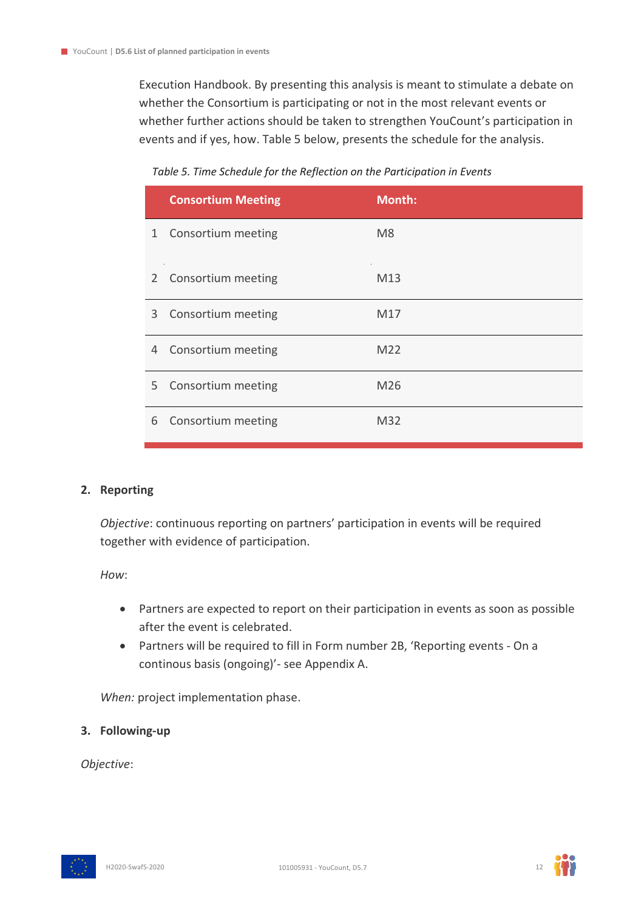Execution Handbook. By presenting this analysis is meant to stimulate a debate on whether the Consortium is participating or not in the most relevant events or whether further actions should be taken to strengthen YouCount's participation in events and if yes, how. Table 5 below, presents the schedule for the analysis.

#### *Table 5. Time Schedule for the Reflection on the Participation in Events*

<span id="page-11-0"></span>

|   | <b>Consortium Meeting</b> | <b>Month:</b>   |
|---|---------------------------|-----------------|
|   | 1 Consortium meeting      | M <sub>8</sub>  |
|   | 2 Consortium meeting      | M <sub>13</sub> |
| 3 | Consortium meeting        | M17             |
|   | 4 Consortium meeting      | M22             |
|   | 5 Consortium meeting      | M26             |
| 6 | Consortium meeting        | M32             |

#### **2. Reporting**

*Objective*: continuous reporting on partners' participation in events will be required together with evidence of participation.

*How*:

- Partners are expected to report on their participation in events as soon as possible after the event is celebrated.
- Partners will be required to fill in Form number 2B, 'Reporting events On a continous basis (ongoing)'- see Appendix A.

*When:* project implementation phase.

#### **3. Following-up**

*Objective*:



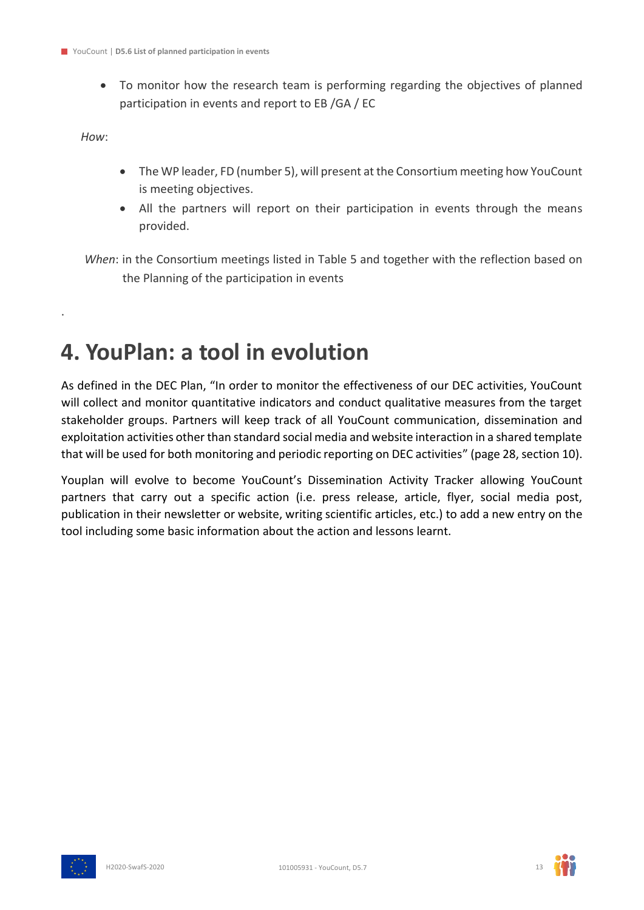• To monitor how the research team is performing regarding the objectives of planned participation in events and report to EB /GA / EC

*How*:

.

- The WP leader, FD (number 5), will present at the Consortium meeting how YouCount is meeting objectives.
- All the partners will report on their participation in events through the means provided.

*When*: in the Consortium meetings listed in Table 5 and together with the reflection based on the Planning of the participation in events

### <span id="page-12-0"></span>**4. YouPlan: a tool in evolution**

As defined in the DEC Plan, "In order to monitor the effectiveness of our DEC activities, YouCount will collect and monitor quantitative indicators and conduct qualitative measures from the target stakeholder groups. Partners will keep track of all YouCount communication, dissemination and exploitation activities other than standard social media and website interaction in a shared template that will be used for both monitoring and periodic reporting on DEC activities" (page 28, section 10).

Youplan will evolve to become YouCount's Dissemination Activity Tracker allowing YouCount partners that carry out a specific action (i.e. press release, article, flyer, social media post, publication in their newsletter or website, writing scientific articles, etc.) to add a new entry on the tool including some basic information about the action and lessons learnt.



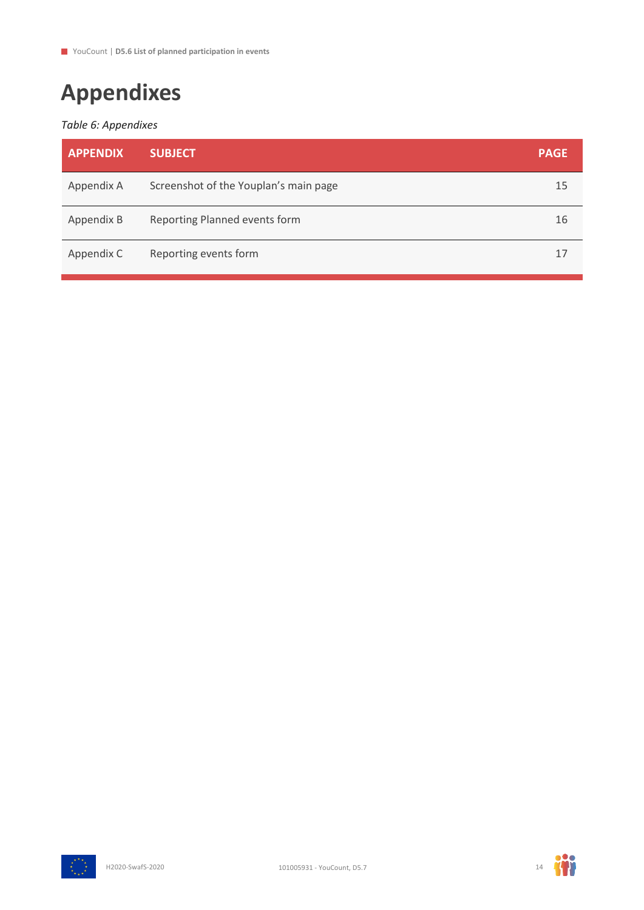# <span id="page-13-0"></span>**Appendixes**

#### <span id="page-13-1"></span>*Table 6: Appendixes*

| <b>APPENDIX</b> | <b>SUBJECT</b>                        | <b>PAGE</b> |
|-----------------|---------------------------------------|-------------|
| Appendix A      | Screenshot of the Youplan's main page | 15          |
| Appendix B      | Reporting Planned events form         | 16          |
| Appendix C      | Reporting events form                 | 17          |



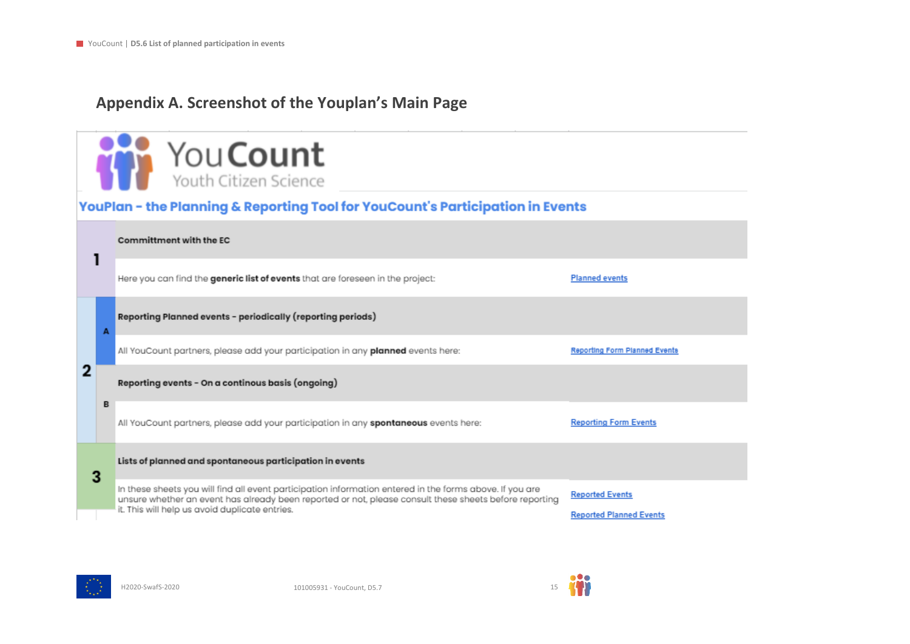### **Appendix A. Screenshot of the Youplan's Main Page**

|   | You Count<br>Youth Citizen Science                                                                                                                                                                                                                                   |                                                          |
|---|----------------------------------------------------------------------------------------------------------------------------------------------------------------------------------------------------------------------------------------------------------------------|----------------------------------------------------------|
|   | YouPlan - the Planning & Reporting Tool for YouCount's Participation in Events                                                                                                                                                                                       |                                                          |
| 1 | Committment with the EC                                                                                                                                                                                                                                              |                                                          |
|   | Here you can find the generic list of events that are foreseen in the project:                                                                                                                                                                                       | <b>Planned events</b>                                    |
| A | Reporting Planned events - periodically (reporting periods)                                                                                                                                                                                                          |                                                          |
|   | All YouCount partners, please add your participation in any planned events here:                                                                                                                                                                                     | Reporting Form Planned Events                            |
| 2 | Reporting events - On a continous basis (ongoing)                                                                                                                                                                                                                    |                                                          |
| в | All YouCount partners, please add your participation in any spontaneous events here:                                                                                                                                                                                 | <b>Reporting Form Events</b>                             |
| 3 | Lists of planned and spontaneous participation in events                                                                                                                                                                                                             |                                                          |
|   | In these sheets you will find all event participation information entered in the forms above. If you are<br>unsure whether an event has already been reported or not, please consult these sheets before reporting<br>it. This will help us avoid duplicate entries. | <b>Reported Events</b><br><b>Reported Planned Events</b> |



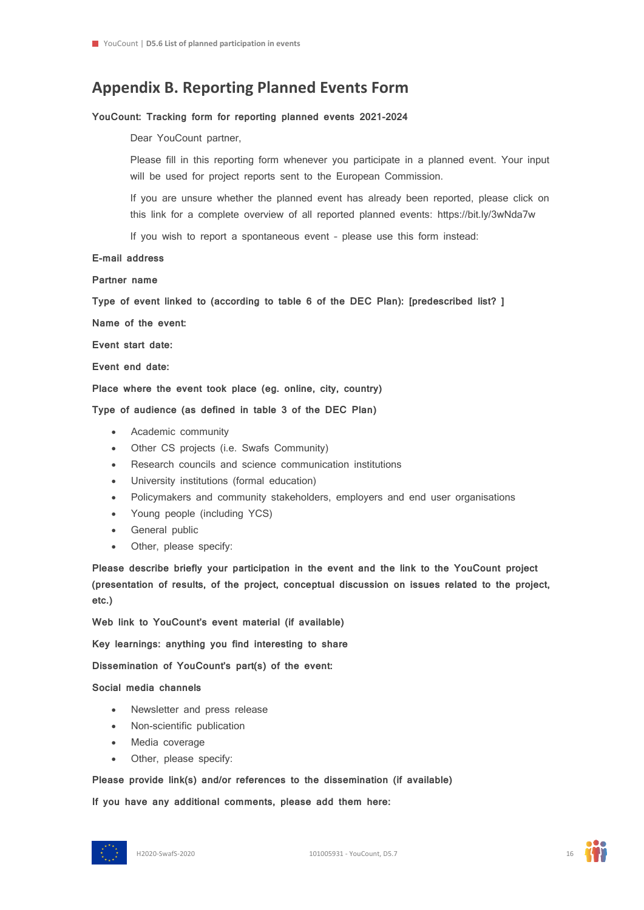### **Appendix B. Reporting Planned Events Form**

#### **YouCount: Tracking form for reporting planned events 2021-2024**

Dear YouCount partner,

Please fill in this reporting form whenever you participate in a planned event. Your input will be used for project reports sent to the European Commission.

If you are unsure whether the planned event has already been reported, please click on this link for a complete overview of all reported planned events: https://bit.ly/3wNda7w

If you wish to report a spontaneous event – please use this form instead:

#### **E-mail address**

**Partner name**

**Type of event linked to (according to table 6 of the DEC Plan): [predescribed list? ]**

**Name of the event:**

**Event start date:**

**Event end date:**

**Place where the event took place (eg. online, city, country)**

**Type of audience (as defined in table 3 of the DEC Plan)**

- Academic community
- Other CS projects (i.e. Swafs Community)
- Research councils and science communication institutions
- University institutions (formal education)
- Policymakers and community stakeholders, employers and end user organisations
- Young people (including YCS)
- General public
- Other, please specify:

**Please describe briefly your participation in the event and the link to the YouCount project (presentation of results, of the project, conceptual discussion on issues related to the project, etc.)**

**Web link to YouCount's event material (if available)**

**Key learnings: anything you find interesting to share**

**Dissemination of YouCount's part(s) of the event:**

#### **Social media channels**

- Newsletter and press release
- Non-scientific publication
- Media coverage
- Other, please specify:

**Please provide link(s) and/or references to the dissemination (if available)**

**If you have any additional comments, please add them here:**

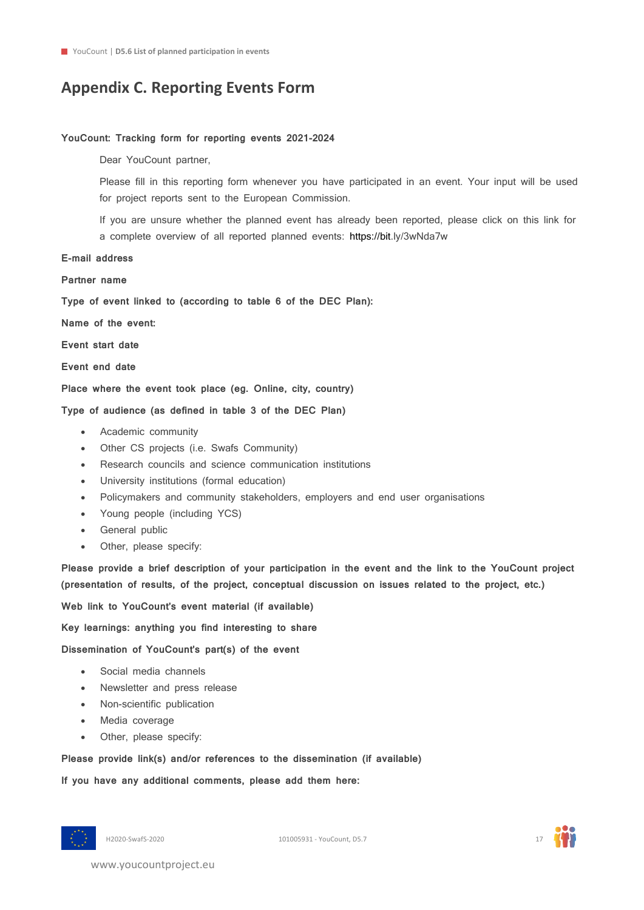### **Appendix C. Reporting Events Form**

#### **YouCount: Tracking form for reporting events 2021-2024**

Dear YouCount partner,

Please fill in this reporting form whenever you have participated in an event. Your input will be used for project reports sent to the European Commission.

If you are unsure whether the planned event has already been reported, please click on this link for a complete overview of all reported planned events: [https://bit.](https://bit/)ly/3wNda7w

#### **E-mail address**

**Partner name**

**Type of event linked to (according to table 6 of the DEC Plan):**

**Name of the event:**

**Event start date**

**Event end date**

**Place where the event took place (eg. Online, city, country)**

**Type of audience (as defined in table 3 of the DEC Plan)**

- Academic community
- Other CS projects (i.e. Swafs Community)
- Research councils and science communication institutions
- University institutions (formal education)
- Policymakers and community stakeholders, employers and end user organisations
- Young people (including YCS)
- General public
- Other, please specify:

**Please provide a brief description of your participation in the event and the link to the YouCount project (presentation of results, of the project, conceptual discussion on issues related to the project, etc.)**

**Web link to YouCount's event material (if available)**

**Key learnings: anything you find interesting to share**

**Dissemination of YouCount's part(s) of the event**

- Social media channels
- Newsletter and press release
- Non-scientific publication
- Media coverage
- Other, please specify:

**Please provide link(s) and/or references to the dissemination (if available)**

**If you have any additional comments, please add them here:**